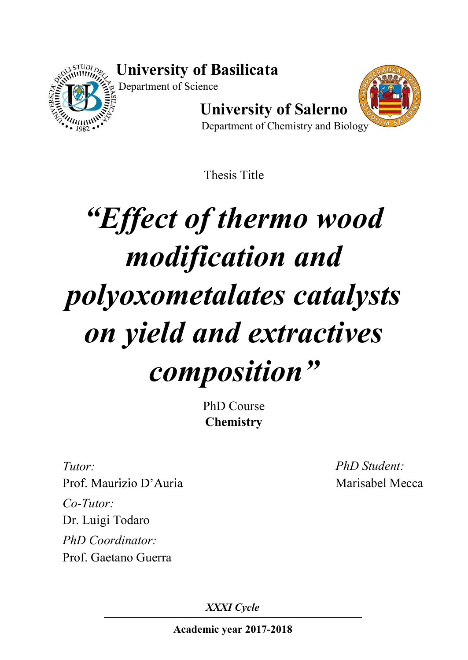University of Basilicata



Department of Science

University of Salerno



Department of Chemistry and Biology

Thesis Title

## Effect of thermo wood modification and polyoxometalates catalysts on yield and extractives composition"

PhD Course **Chemistry** 

Tutor: Prof. Maurizio D'Auria Co-Tutor: Dr. Luigi Todaro PhD Coordinator: Prof. Gaetano Guerra

PhD Student: Marisabel Mecca

XXXI Cycle

Academic year 2017-2018